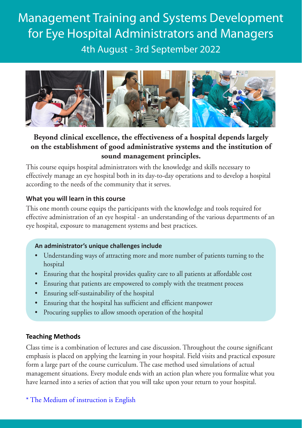Management Training and Systems Development for Eye Hospital Administrators and Managers 4th August - 3rd September 2022



# **Beyond clinical excellence, the effectiveness of a hospital depends largely on the establishment of good administrative systems and the institution of sound management principles.**

This course equips hospital administrators with the knowledge and skills necessary to effectively manage an eye hospital both in its day-to-day operations and to develop a hospital according to the needs of the community that it serves.

## **What you will learn in this course**

This one month course equips the participants with the knowledge and tools required for effective administration of an eye hospital - an understanding of the various departments of an eye hospital, exposure to management systems and best practices.

### **An administrator's unique challenges include**

- Understanding ways of attracting more and more number of patients turning to the hospital
- • Ensuring that the hospital provides quality care to all patients at affordable cost
- Ensuring that patients are empowered to comply with the treatment process
- Ensuring self-sustainability of the hospital
- Ensuring that the hospital has sufficient and efficient manpower
- Procuring supplies to allow smooth operation of the hospital

# **Teaching Methods**

Class time is a combination of lectures and case discussion. Throughout the course significant emphasis is placed on applying the learning in your hospital. Field visits and practical exposure form a large part of the course curriculum. The case method used simulations of actual management situations. Every module ends with an action plan where you formalize what you have learned into a series of action that you will take upon your return to your hospital.

\* The Medium of instruction is English